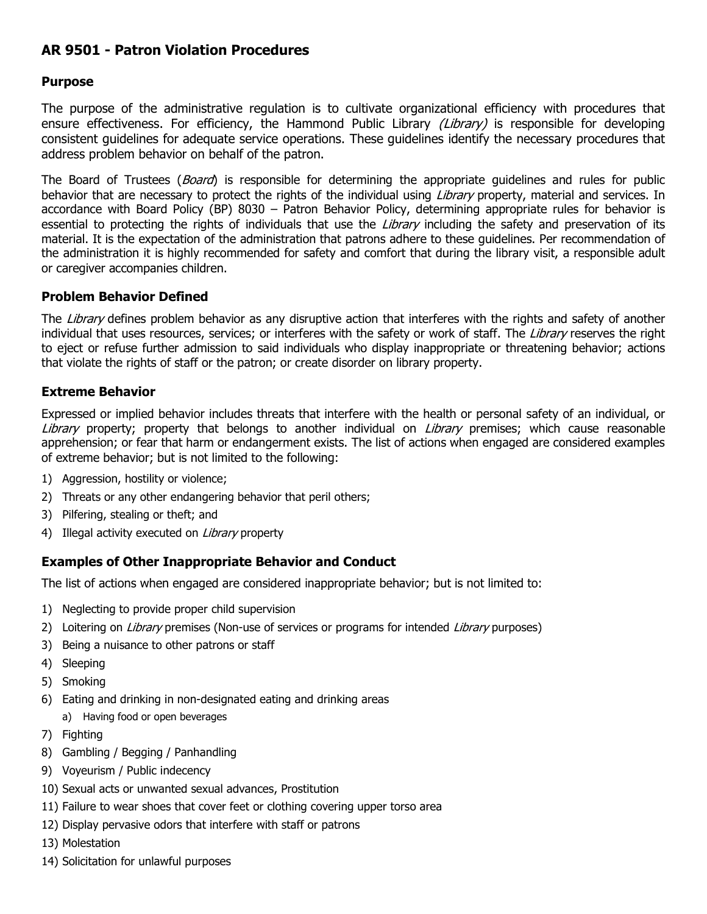# **AR 9501 - Patron Violation Procedures**

## **Purpose**

The purpose of the administrative regulation is to cultivate organizational efficiency with procedures that ensure effectiveness. For efficiency, the Hammond Public Library *(Library)* is responsible for developing consistent guidelines for adequate service operations. These guidelines identify the necessary procedures that address problem behavior on behalf of the patron.

The Board of Trustees (*Board*) is responsible for determining the appropriate guidelines and rules for public behavior that are necessary to protect the rights of the individual using *Library* property, material and services. In accordance with Board Policy (BP) 8030 – Patron Behavior Policy, determining appropriate rules for behavior is essential to protecting the rights of individuals that use the Library including the safety and preservation of its material. It is the expectation of the administration that patrons adhere to these guidelines. Per recommendation of the administration it is highly recommended for safety and comfort that during the library visit, a responsible adult or caregiver accompanies children.

### **Problem Behavior Defined**

The Library defines problem behavior as any disruptive action that interferes with the rights and safety of another individual that uses resources, services; or interferes with the safety or work of staff. The Library reserves the right to eject or refuse further admission to said individuals who display inappropriate or threatening behavior; actions that violate the rights of staff or the patron; or create disorder on library property.

# **Extreme Behavior**

Expressed or implied behavior includes threats that interfere with the health or personal safety of an individual, or Library property; property that belongs to another individual on Library premises; which cause reasonable apprehension; or fear that harm or endangerment exists. The list of actions when engaged are considered examples of extreme behavior; but is not limited to the following:

- 1) Aggression, hostility or violence;
- 2) Threats or any other endangering behavior that peril others;
- 3) Pilfering, stealing or theft; and
- 4) Illegal activity executed on Library property

### **Examples of Other Inappropriate Behavior and Conduct**

The list of actions when engaged are considered inappropriate behavior; but is not limited to:

- 1) Neglecting to provide proper child supervision
- 2) Loitering on *Library* premises (Non-use of services or programs for intended *Library* purposes)
- 3) Being a nuisance to other patrons or staff
- 4) Sleeping
- 5) Smoking
- 6) Eating and drinking in non-designated eating and drinking areas
	- a) Having food or open beverages
- 7) Fighting
- 8) Gambling / Begging / Panhandling
- 9) Voyeurism / Public indecency
- 10) Sexual acts or unwanted sexual advances, Prostitution
- 11) Failure to wear shoes that cover feet or clothing covering upper torso area
- 12) Display pervasive odors that interfere with staff or patrons
- 13) Molestation
- 14) Solicitation for unlawful purposes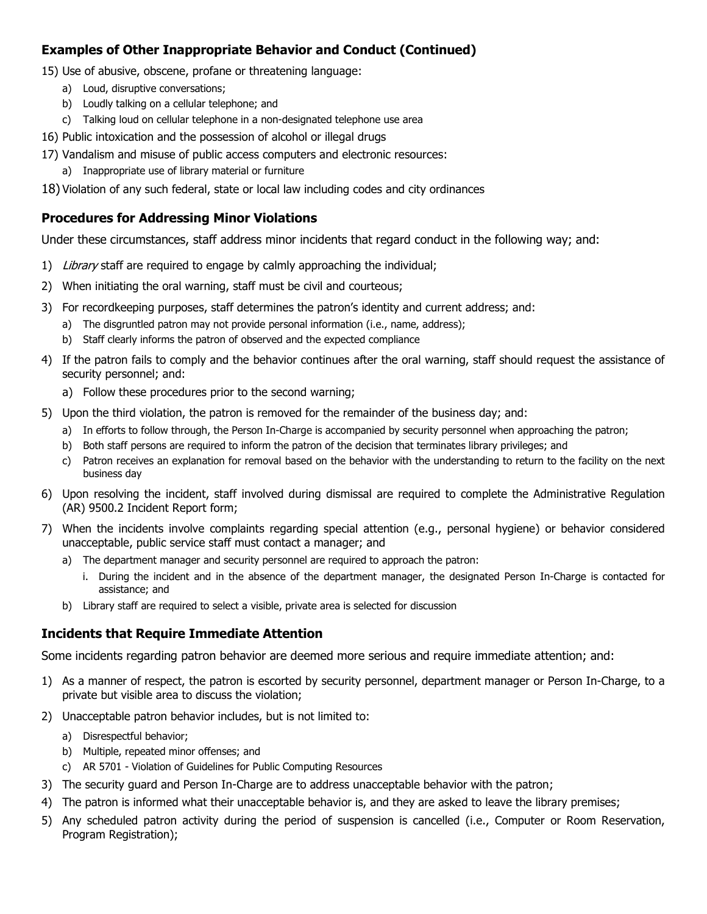# **Examples of Other Inappropriate Behavior and Conduct (Continued)**

15) Use of abusive, obscene, profane or threatening language:

- a) Loud, disruptive conversations;
- b) Loudly talking on a cellular telephone; and
- c) Talking loud on cellular telephone in a non-designated telephone use area
- 16) Public intoxication and the possession of alcohol or illegal drugs
- 17) Vandalism and misuse of public access computers and electronic resources:
	- a) Inappropriate use of library material or furniture
- 18) Violation of any such federal, state or local law including codes and city ordinances

## **Procedures for Addressing Minor Violations**

Under these circumstances, staff address minor incidents that regard conduct in the following way; and:

- 1) Library staff are required to engage by calmly approaching the individual;
- 2) When initiating the oral warning, staff must be civil and courteous;
- 3) For recordkeeping purposes, staff determines the patron's identity and current address; and:
	- a) The disgruntled patron may not provide personal information (i.e., name, address);
	- b) Staff clearly informs the patron of observed and the expected compliance
- 4) If the patron fails to comply and the behavior continues after the oral warning, staff should request the assistance of security personnel; and:
	- a) Follow these procedures prior to the second warning;
- 5) Upon the third violation, the patron is removed for the remainder of the business day; and:
	- a) In efforts to follow through, the Person In-Charge is accompanied by security personnel when approaching the patron;
	- b) Both staff persons are required to inform the patron of the decision that terminates library privileges; and
	- c) Patron receives an explanation for removal based on the behavior with the understanding to return to the facility on the next business day
- 6) Upon resolving the incident, staff involved during dismissal are required to complete the Administrative Regulation (AR) 9500.2 Incident Report form;
- 7) When the incidents involve complaints regarding special attention (e.g., personal hygiene) or behavior considered unacceptable, public service staff must contact a manager; and
	- a) The department manager and security personnel are required to approach the patron:
		- i. During the incident and in the absence of the department manager, the designated Person In-Charge is contacted for assistance; and
	- b) Library staff are required to select a visible, private area is selected for discussion

### **Incidents that Require Immediate Attention**

Some incidents regarding patron behavior are deemed more serious and require immediate attention; and:

- 1) As a manner of respect, the patron is escorted by security personnel, department manager or Person In-Charge, to a private but visible area to discuss the violation;
- 2) Unacceptable patron behavior includes, but is not limited to:
	- a) Disrespectful behavior;
	- b) Multiple, repeated minor offenses; and
	- c) AR 5701 Violation of Guidelines for Public Computing Resources
- 3) The security guard and Person In-Charge are to address unacceptable behavior with the patron;
- 4) The patron is informed what their unacceptable behavior is, and they are asked to leave the library premises;
- 5) Any scheduled patron activity during the period of suspension is cancelled (i.e., Computer or Room Reservation, Program Registration);